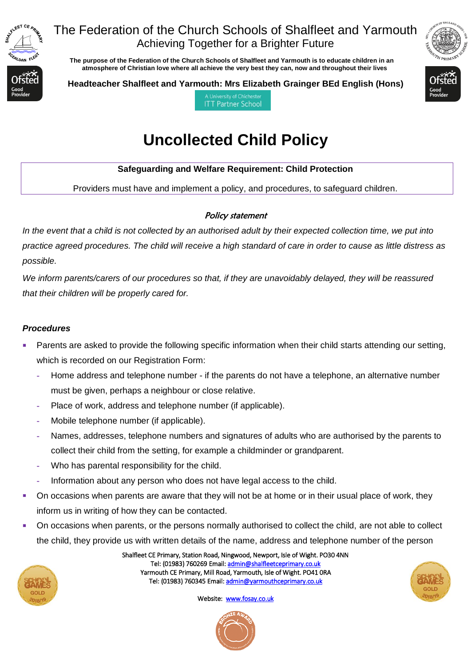

### The Federation of the Church Schools of Shalfleet and Yarmouth Achieving Together for a Brighter Future

 **The purpose of the Federation of the Church Schools of Shalfleet and Yarmouth is to educate children in an atmosphere of Christian love where all achieve the very best they can, now and throughout their lives** 



**Headteacher Shalfleet and Yarmouth: Mrs Elizabeth Grainger BEd English (Hons)**



A University of Chicheste **ITT Partner School** 

# **Uncollected Child Policy**

#### **Safeguarding and Welfare Requirement: Child Protection**

Providers must have and implement a policy, and procedures, to safeguard children.

#### Policy statement

*In the event that a child is not collected by an authorised adult by their expected collection time, we put into practice agreed procedures. The child will receive a high standard of care in order to cause as little distress as possible.*

*We inform parents/carers of our procedures so that, if they are unavoidably delayed, they will be reassured that their children will be properly cared for.*

#### *Procedures*

- Parents are asked to provide the following specific information when their child starts attending our setting, which is recorded on our Registration Form:
	- **-** Home address and telephone number if the parents do not have a telephone, an alternative number must be given, perhaps a neighbour or close relative.
	- **-** Place of work, address and telephone number (if applicable).
	- **-** Mobile telephone number (if applicable).
	- **-** Names, addresses, telephone numbers and signatures of adults who are authorised by the parents to collect their child from the setting, for example a childminder or grandparent.
	- **-** Who has parental responsibility for the child.
	- **-** Information about any person who does not have legal access to the child.
- On occasions when parents are aware that they will not be at home or in their usual place of work, they inform us in writing of how they can be contacted.
- On occasions when parents, or the persons normally authorised to collect the child, are not able to collect the child, they provide us with written details of the name, address and telephone number of the person



Shalfleet CE Primary, Station Road, Ningwood, Newport, Isle of Wight. PO30 4NN Tel: (01983) 760269 Email[: admin@shalfleetceprimary.co.uk](mailto:admin@shalfleetceprimary.co.uk)  Yarmouth CE Primary, Mill Road, Yarmouth, Isle of Wight. PO41 0RA Tel: (01983) 760345 Email: admin@yarmouthceprimary.co.uk



Website: www.fosay.co.uk

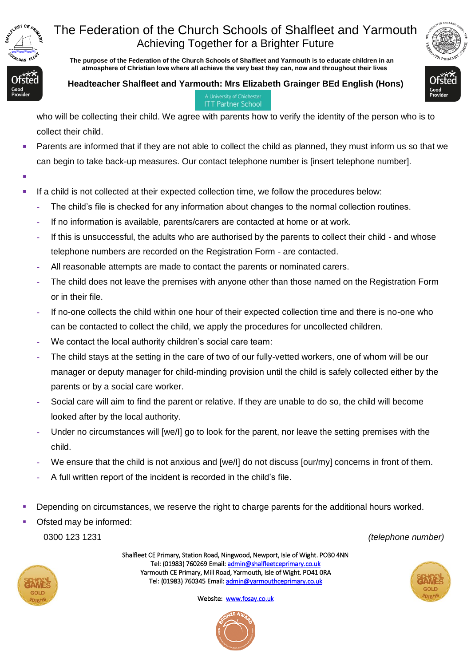

## The Federation of the Church Schools of Shalfleet and Yarmouth Achieving Together for a Brighter Future

 **The purpose of the Federation of the Church Schools of Shalfleet and Yarmouth is to educate children in an atmosphere of Christian love where all achieve the very best they can, now and throughout their lives** 





**ITT Partner School** 

who will be collecting their child. We agree with parents how to verify the identity of the person who is to collect their child.

- Parents are informed that if they are not able to collect the child as planned, they must inform us so that we can begin to take back-up measures. Our contact telephone number is [insert telephone number].
- ▪
- **■** If a child is not collected at their expected collection time, we follow the procedures below:
	- **-** The child's file is checked for any information about changes to the normal collection routines.
	- **-** If no information is available, parents/carers are contacted at home or at work.
	- **-** If this is unsuccessful, the adults who are authorised by the parents to collect their child and whose telephone numbers are recorded on the Registration Form - are contacted.
	- **-** All reasonable attempts are made to contact the parents or nominated carers.
	- **-** The child does not leave the premises with anyone other than those named on the Registration Form or in their file.
	- **-** If no-one collects the child within one hour of their expected collection time and there is no-one who can be contacted to collect the child, we apply the procedures for uncollected children.
	- **-** We contact the local authority children's social care team:
	- **-** The child stays at the setting in the care of two of our fully-vetted workers, one of whom will be our manager or deputy manager for child-minding provision until the child is safely collected either by the parents or by a social care worker.
	- **-** Social care will aim to find the parent or relative. If they are unable to do so, the child will become looked after by the local authority.
	- **-** Under no circumstances will [we/I] go to look for the parent, nor leave the setting premises with the child.
	- We ensure that the child is not anxious and [we/I] do not discuss [our/my] concerns in front of them.
	- **-** A full written report of the incident is recorded in the child's file.
- Depending on circumstances, we reserve the right to charge parents for the additional hours worked.
- Ofsted may be informed:

0300 123 1231 *(telephone number)*



Shalfleet CE Primary, Station Road, Ningwood, Newport, Isle of Wight. PO30 4NN Tel: (01983) 760269 Email[: admin@shalfleetceprimary.co.uk](mailto:admin@shalfleetceprimary.co.uk)  Yarmouth CE Primary, Mill Road, Yarmouth, Isle of Wight. PO41 0RA Tel: (01983) 760345 Email: admin@yarmouthceprimary.co.uk



Website: [www.fosay.co.uk](http://www.fosay.co.uk/)